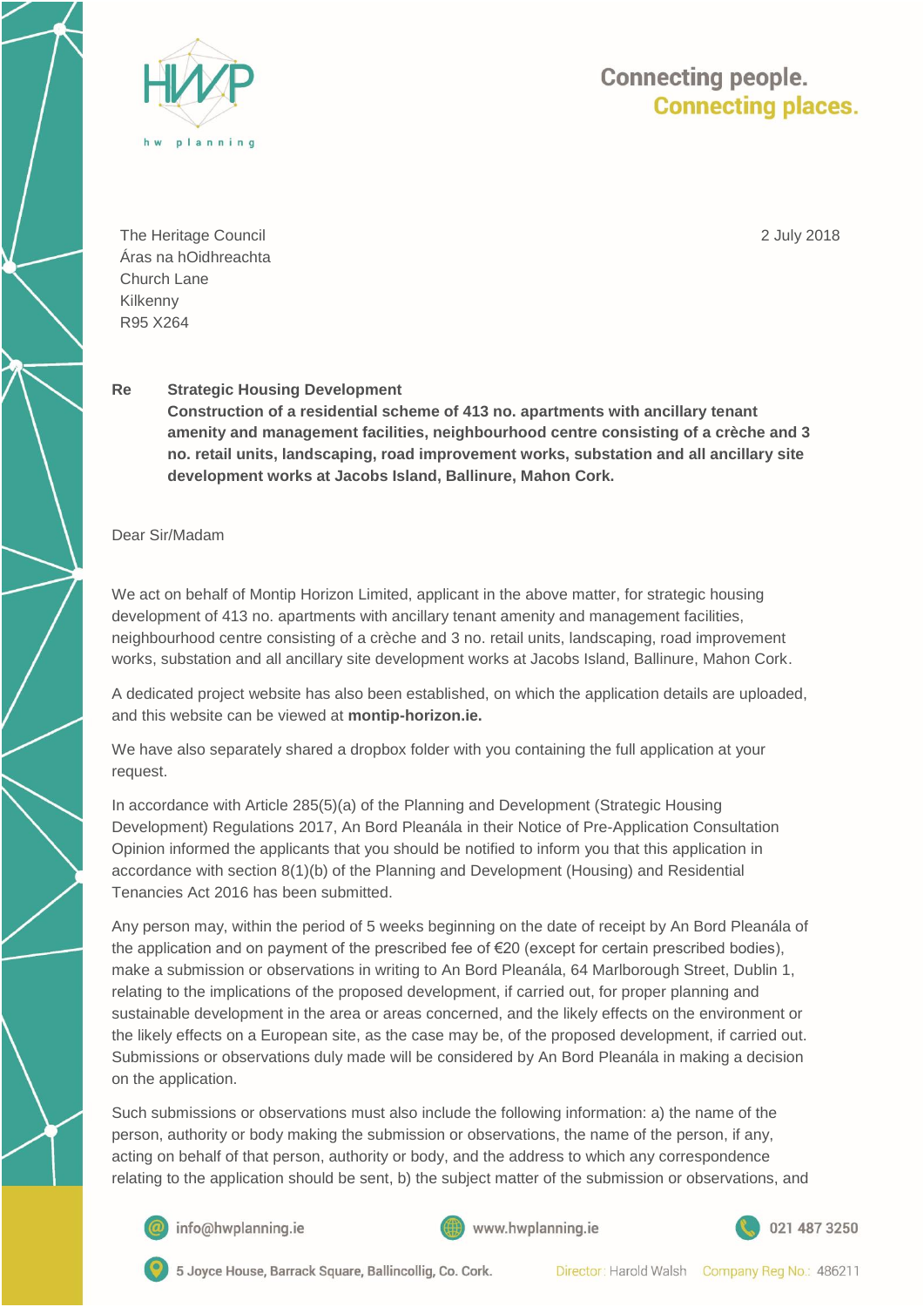

## **Connecting people. Connecting places.**

The Heritage Council Áras na hOidhreachta Church Lane Kilkenny R95 X264

2 July 2018

## **Re Strategic Housing Development**

**Construction of a residential scheme of 413 no. apartments with ancillary tenant amenity and management facilities, neighbourhood centre consisting of a crèche and 3 no. retail units, landscaping, road improvement works, substation and all ancillary site development works at Jacobs Island, Ballinure, Mahon Cork.** 

## Dear Sir/Madam

We act on behalf of Montip Horizon Limited, applicant in the above matter, for strategic housing development of 413 no. apartments with ancillary tenant amenity and management facilities, neighbourhood centre consisting of a crèche and 3 no. retail units, landscaping, road improvement works, substation and all ancillary site development works at Jacobs Island, Ballinure, Mahon Cork.

A dedicated project website has also been established, on which the application details are uploaded, and this website can be viewed at **montip-horizon.ie.**

We have also separately shared a dropbox folder with you containing the full application at your request.

In accordance with Article 285(5)(a) of the Planning and Development (Strategic Housing Development) Regulations 2017, An Bord Pleanála in their Notice of Pre-Application Consultation Opinion informed the applicants that you should be notified to inform you that this application in accordance with section 8(1)(b) of the Planning and Development (Housing) and Residential Tenancies Act 2016 has been submitted.

Any person may, within the period of 5 weeks beginning on the date of receipt by An Bord Pleanála of the application and on payment of the prescribed fee of €20 (except for certain prescribed bodies), make a submission or observations in writing to An Bord Pleanála, 64 Marlborough Street, Dublin 1, relating to the implications of the proposed development, if carried out, for proper planning and sustainable development in the area or areas concerned, and the likely effects on the environment or the likely effects on a European site, as the case may be, of the proposed development, if carried out. Submissions or observations duly made will be considered by An Bord Pleanála in making a decision on the application.

Such submissions or observations must also include the following information: a) the name of the person, authority or body making the submission or observations, the name of the person, if any, acting on behalf of that person, authority or body, and the address to which any correspondence relating to the application should be sent, b) the subject matter of the submission or observations, and



info@hwplanning.ie





5 Joyce House, Barrack Square, Ballincollig, Co. Cork.

Director: Harold Walsh Company Reg No.: 486211